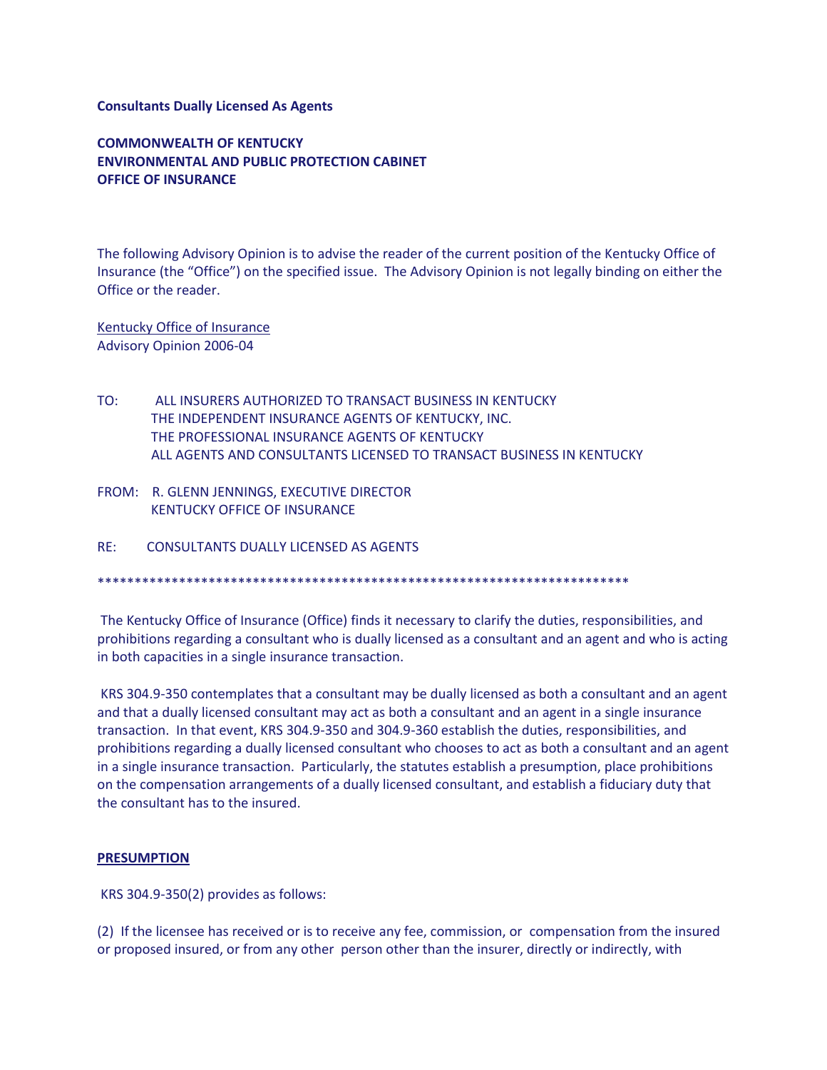## **Consultants Dually Licensed As Agents**

**COMMONWEALTH OF KENTUCKY ENVIRONMENTAL AND PUBLIC PROTECTION CABINET OFFICE OF INSURANCE**

The following Advisory Opinion is to advise the reader of the current position of the Kentucky Office of Insurance (the "Office") on the specified issue. The Advisory Opinion is not legally binding on either the Office or the reader.

Kentucky Office of Insurance Advisory Opinion 2006-04

- TO: ALL INSURERS AUTHORIZED TO TRANSACT BUSINESS IN KENTUCKY THE INDEPENDENT INSURANCE AGENTS OF KENTUCKY, INC. THE PROFESSIONAL INSURANCE AGENTS OF KENTUCKY ALL AGENTS AND CONSULTANTS LICENSED TO TRANSACT BUSINESS IN KENTUCKY
- FROM: R. GLENN JENNINGS, EXECUTIVE DIRECTOR KENTUCKY OFFICE OF INSURANCE
- RE: CONSULTANTS DUALLY LICENSED AS AGENTS

\*\*\*\*\*\*\*\*\*\*\*\*\*\*\*\*\*\*\*\*\*\*\*\*\*\*\*\*\*\*\*\*\*\*\*\*\*\*\*\*\*\*\*\*\*\*\*\*\*\*\*\*\*\*\*\*\*\*\*\*\*\*\*\*\*\*\*\*\*\*\*\*

The Kentucky Office of Insurance (Office) finds it necessary to clarify the duties, responsibilities, and prohibitions regarding a consultant who is dually licensed as a consultant and an agent and who is acting in both capacities in a single insurance transaction.

KRS 304.9-350 contemplates that a consultant may be dually licensed as both a consultant and an agent and that a dually licensed consultant may act as both a consultant and an agent in a single insurance transaction. In that event, KRS 304.9-350 and 304.9-360 establish the duties, responsibilities, and prohibitions regarding a dually licensed consultant who chooses to act as both a consultant and an agent in a single insurance transaction. Particularly, the statutes establish a presumption, place prohibitions on the compensation arrangements of a dually licensed consultant, and establish a fiduciary duty that the consultant has to the insured.

## **PRESUMPTION**

KRS 304.9-350(2) provides as follows:

(2) If the licensee has received or is to receive any fee, commission, or compensation from the insured or proposed insured, or from any other person other than the insurer, directly or indirectly, with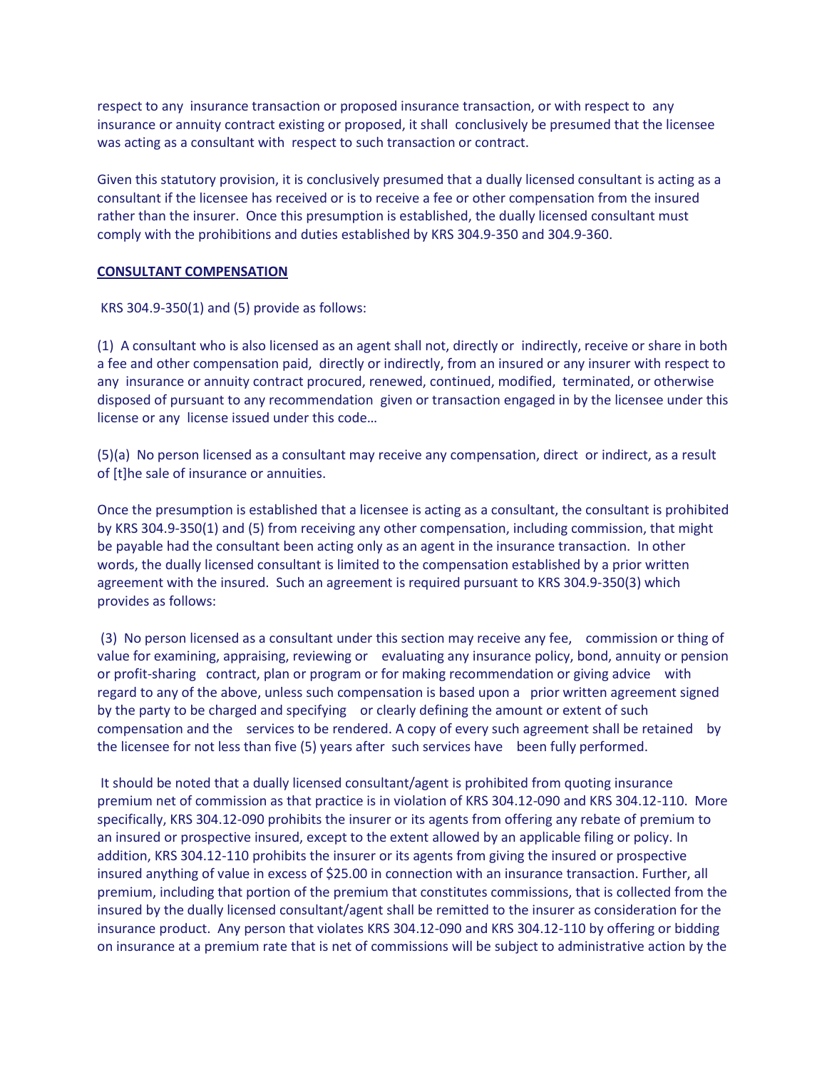respect to any insurance transaction or proposed insurance transaction, or with respect to any insurance or annuity contract existing or proposed, it shall conclusively be presumed that the licensee was acting as a consultant with respect to such transaction or contract.

Given this statutory provision, it is conclusively presumed that a dually licensed consultant is acting as a consultant if the licensee has received or is to receive a fee or other compensation from the insured rather than the insurer. Once this presumption is established, the dually licensed consultant must comply with the prohibitions and duties established by KRS 304.9-350 and 304.9-360.

## **CONSULTANT COMPENSATION**

KRS 304.9-350(1) and (5) provide as follows:

(1) A consultant who is also licensed as an agent shall not, directly or indirectly, receive or share in both a fee and other compensation paid, directly or indirectly, from an insured or any insurer with respect to any insurance or annuity contract procured, renewed, continued, modified, terminated, or otherwise disposed of pursuant to any recommendation given or transaction engaged in by the licensee under this license or any license issued under this code…

(5)(a) No person licensed as a consultant may receive any compensation, direct or indirect, as a result of [t]he sale of insurance or annuities.

Once the presumption is established that a licensee is acting as a consultant, the consultant is prohibited by KRS 304.9-350(1) and (5) from receiving any other compensation, including commission, that might be payable had the consultant been acting only as an agent in the insurance transaction. In other words, the dually licensed consultant is limited to the compensation established by a prior written agreement with the insured. Such an agreement is required pursuant to KRS 304.9-350(3) which provides as follows:

(3) No person licensed as a consultant under this section may receive any fee, commission or thing of value for examining, appraising, reviewing or evaluating any insurance policy, bond, annuity or pension or profit-sharing contract, plan or program or for making recommendation or giving advice with regard to any of the above, unless such compensation is based upon a prior written agreement signed by the party to be charged and specifying or clearly defining the amount or extent of such compensation and the services to be rendered. A copy of every such agreement shall be retained by the licensee for not less than five (5) years after such services have been fully performed.

It should be noted that a dually licensed consultant/agent is prohibited from quoting insurance premium net of commission as that practice is in violation of KRS 304.12-090 and KRS 304.12-110. More specifically, KRS 304.12-090 prohibits the insurer or its agents from offering any rebate of premium to an insured or prospective insured, except to the extent allowed by an applicable filing or policy. In addition, KRS 304.12-110 prohibits the insurer or its agents from giving the insured or prospective insured anything of value in excess of \$25.00 in connection with an insurance transaction. Further, all premium, including that portion of the premium that constitutes commissions, that is collected from the insured by the dually licensed consultant/agent shall be remitted to the insurer as consideration for the insurance product. Any person that violates KRS 304.12-090 and KRS 304.12-110 by offering or bidding on insurance at a premium rate that is net of commissions will be subject to administrative action by the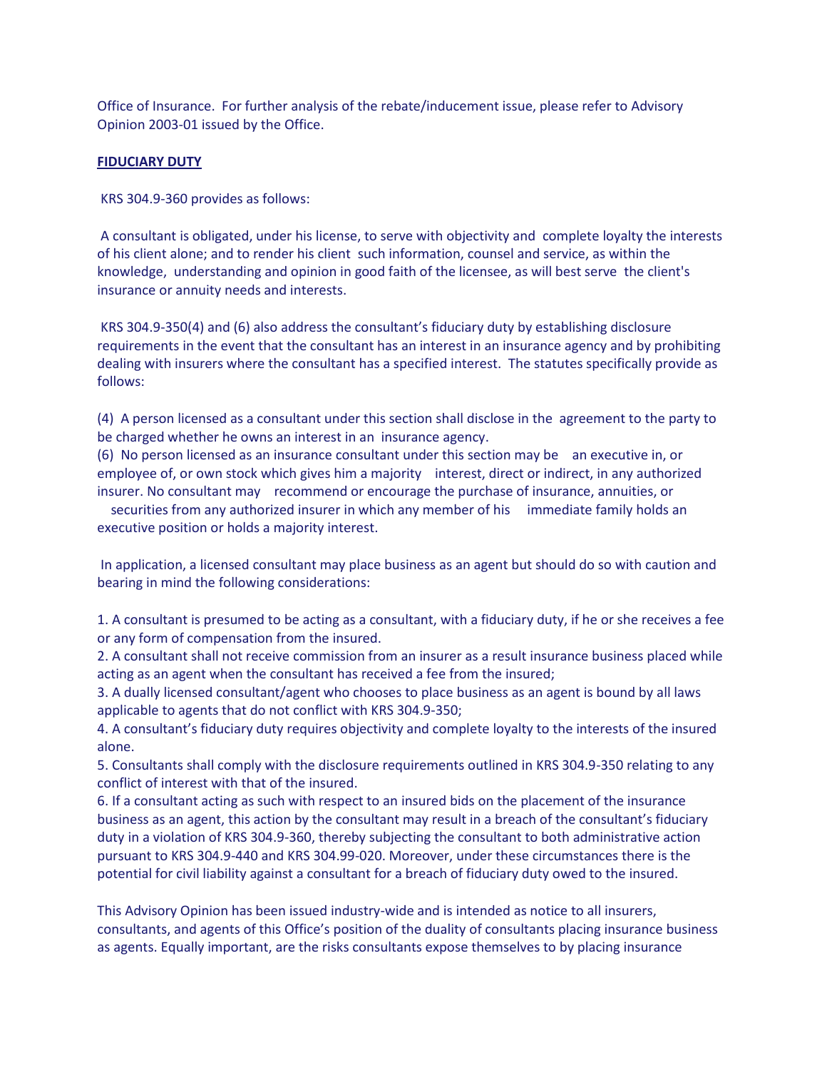Office of Insurance. For further analysis of the rebate/inducement issue, please refer to Advisory Opinion 2003-01 issued by the Office.

## **FIDUCIARY DUTY**

KRS 304.9-360 provides as follows:

A consultant is obligated, under his license, to serve with objectivity and complete loyalty the interests of his client alone; and to render his client such information, counsel and service, as within the knowledge, understanding and opinion in good faith of the licensee, as will best serve the client's insurance or annuity needs and interests.

KRS 304.9-350(4) and (6) also address the consultant's fiduciary duty by establishing disclosure requirements in the event that the consultant has an interest in an insurance agency and by prohibiting dealing with insurers where the consultant has a specified interest. The statutes specifically provide as follows:

(4) A person licensed as a consultant under this section shall disclose in the agreement to the party to be charged whether he owns an interest in an insurance agency.

(6) No person licensed as an insurance consultant under this section may be an executive in, or employee of, or own stock which gives him a majority interest, direct or indirect, in any authorized insurer. No consultant may recommend or encourage the purchase of insurance, annuities, or

 securities from any authorized insurer in which any member of his immediate family holds an executive position or holds a majority interest.

In application, a licensed consultant may place business as an agent but should do so with caution and bearing in mind the following considerations:

1. A consultant is presumed to be acting as a consultant, with a fiduciary duty, if he or she receives a fee or any form of compensation from the insured.

2. A consultant shall not receive commission from an insurer as a result insurance business placed while acting as an agent when the consultant has received a fee from the insured;

3. A dually licensed consultant/agent who chooses to place business as an agent is bound by all laws applicable to agents that do not conflict with KRS 304.9-350;

4. A consultant's fiduciary duty requires objectivity and complete loyalty to the interests of the insured alone.

5. Consultants shall comply with the disclosure requirements outlined in KRS 304.9-350 relating to any conflict of interest with that of the insured.

6. If a consultant acting as such with respect to an insured bids on the placement of the insurance business as an agent, this action by the consultant may result in a breach of the consultant's fiduciary duty in a violation of KRS 304.9-360, thereby subjecting the consultant to both administrative action pursuant to KRS 304.9-440 and KRS 304.99-020. Moreover, under these circumstances there is the potential for civil liability against a consultant for a breach of fiduciary duty owed to the insured.

This Advisory Opinion has been issued industry-wide and is intended as notice to all insurers, consultants, and agents of this Office's position of the duality of consultants placing insurance business as agents. Equally important, are the risks consultants expose themselves to by placing insurance